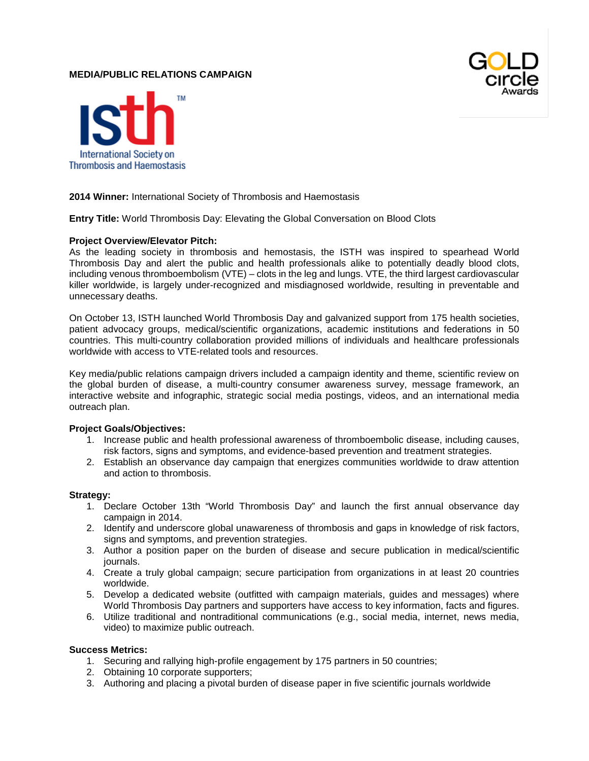# **MEDIA/PUBLIC RELATIONS CAMPAIGN**





# **2014 Winner:** International Society of Thrombosis and Haemostasis

**Entry Title:** World Thrombosis Day: Elevating the Global Conversation on Blood Clots

### **Project Overview/Elevator Pitch:**

As the leading society in thrombosis and hemostasis, the ISTH was inspired to spearhead World Thrombosis Day and alert the public and health professionals alike to potentially deadly blood clots, including venous thromboembolism (VTE) – clots in the leg and lungs. VTE, the third largest cardiovascular killer worldwide, is largely under-recognized and misdiagnosed worldwide, resulting in preventable and unnecessary deaths.

On October 13, ISTH launched World Thrombosis Day and galvanized support from 175 health societies, patient advocacy groups, medical/scientific organizations, academic institutions and federations in 50 countries. This multi-country collaboration provided millions of individuals and healthcare professionals worldwide with access to VTE-related tools and resources.

Key media/public relations campaign drivers included a campaign identity and theme, scientific review on the global burden of disease, a multi-country consumer awareness survey, message framework, an interactive website and infographic, strategic social media postings, videos, and an international media outreach plan.

#### **Project Goals/Objectives:**

- 1. Increase public and health professional awareness of thromboembolic disease, including causes, risk factors, signs and symptoms, and evidence-based prevention and treatment strategies.
- 2. Establish an observance day campaign that energizes communities worldwide to draw attention and action to thrombosis.

### **Strategy:**

- 1. Declare October 13th "World Thrombosis Day" and launch the first annual observance day campaign in 2014.
- 2. Identify and underscore global unawareness of thrombosis and gaps in knowledge of risk factors, signs and symptoms, and prevention strategies.
- 3. Author a position paper on the burden of disease and secure publication in medical/scientific journals.
- 4. Create a truly global campaign; secure participation from organizations in at least 20 countries worldwide.
- 5. Develop a dedicated website (outfitted with campaign materials, guides and messages) where World Thrombosis Day partners and supporters have access to key information, facts and figures.
- 6. Utilize traditional and nontraditional communications (e.g., social media, internet, news media, video) to maximize public outreach.

#### **Success Metrics:**

- 1. Securing and rallying high-profile engagement by 175 partners in 50 countries;
- 2. Obtaining 10 corporate supporters;
- 3. Authoring and placing a pivotal burden of disease paper in five scientific journals worldwide